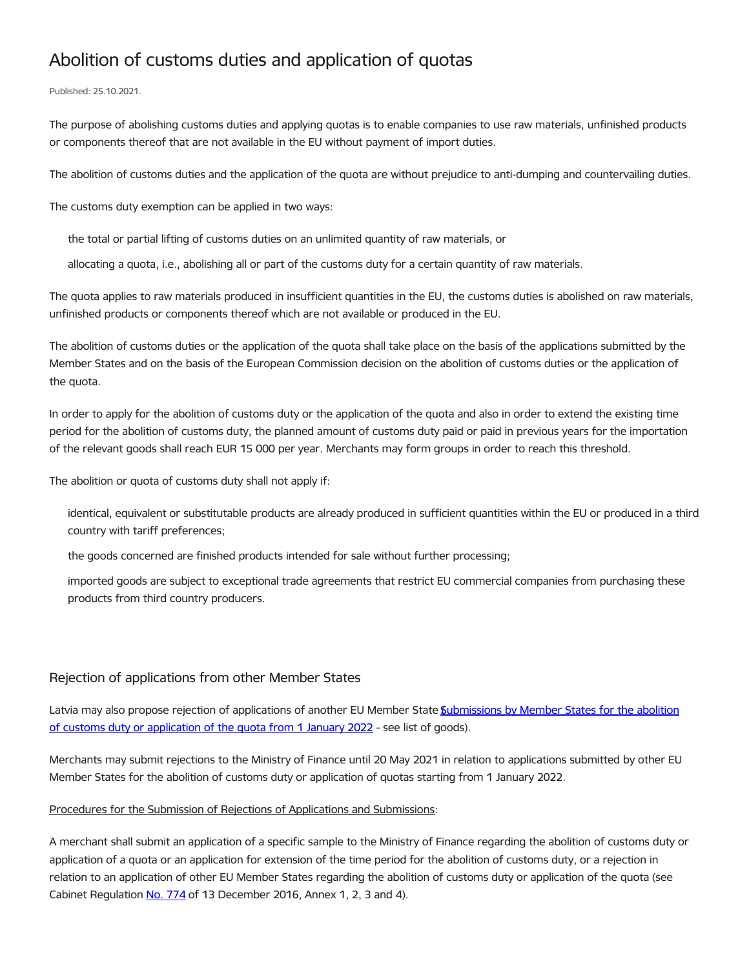## Abolition of customs duties and application of quotas

## Published: 25.10.2021.

The purpose of abolishing customs duties and applying quotas is to enable companies to use raw materials, unfinished products or components thereof that are not available in the EU without payment of import duties.

The abolition of customs duties and the application of the quota are without prejudice to anti-dumping and countervailing duties.

The customs duty exemption can be applied in two ways:

the total or partial lifting of customs duties on an unlimited quantity of raw materials, or

allocating a quota, i.e., abolishing all or part of the customs duty for a certain quantity of raw materials.

The quota applies to raw materials produced in insufficient quantities in the EU, the customs duties is abolished on raw materials, unfinished products or components thereof which are not available or produced in the EU.

The abolition of customs duties or the application of the quota shall take place on the basis of the applications submitted by the Member States and on the basis of the European Commission decision on the abolition of customs duties or the application of the quota.

In order to apply for the abolition of customs duty or the application of the quota and also in order to extend the existing time period for the abolition of customs duty, the planned amount of customs duty paid or paid in previous years for the importation of the relevant goods shall reach EUR 15 000 per year. Merchants may form groups in order to reach this threshold.

The abolition or quota of customs duty shall not apply if:

identical, equivalent or substitutable products are already produced in sufficient quantities within the EU or produced in a third country with tariff preferences;

the goods concerned are finished products intended for sale without further processing;

imported goods are subject to exceptional trade agreements that restrict EU commercial companies from purchasing these products from third country producers.

## Rejection of applications from other Member States

Latvia may also propose rejection of [applications](https://www.fm.gov.lv/lv/media/2473/download) of another EU Member State Submissions by Member States for the abolition of customs duty or application of the quota from 1 January 2022 - see list of goods).

Merchants may submit rejections to the Ministry of Finance until 20 May 2021 in relation to applications submitted by other EU Member States for the abolition of customs duty or application of quotas starting from 1 January 2022.

## Procedures for the Submission of Rejections of Applications and Submissions:

A merchant shall submit an application of a specific sample to the Ministry of Finance regarding the abolition of customs duty or application of a quota or an application for extension of the time period for the abolition of customs duty, or a rejection in relation to an application of other EU Member States regarding the abolition of customs duty or application of the quota (see Cabinet Regulation No. [774](https://likumi.lv/ta/id/287377-iesniegumu-par-muitas-nodokla-atcelsanu-un-kvotu-piemerosanu-ka-ari-noraidijumu-sagatavosanas-kartiba) of 13 December 2016, Annex 1, 2, 3 and 4).